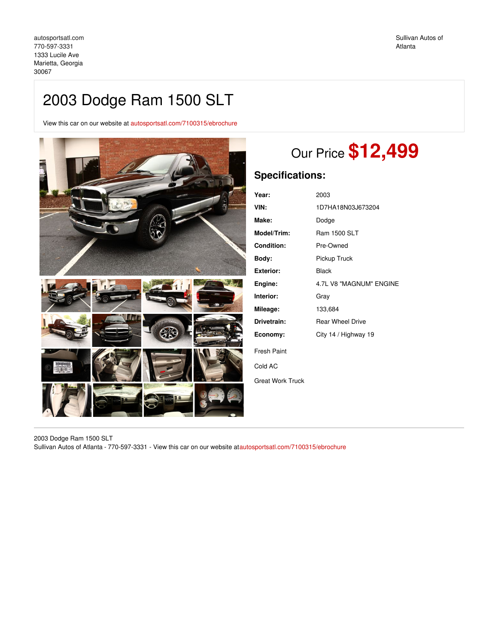# 2003 Dodge Ram 1500 SLT

View this car on our website at [autosportsatl.com/7100315/ebrochure](https://autosportsatl.com/vehicle/7100315/2003-dodge-ram-1500-slt-marietta-georgia-30067/7100315/ebrochure)



# Our Price **\$12,499**

# **Specifications:**

| Year:                   | 2003                    |
|-------------------------|-------------------------|
| VIN:                    | 1D7HA18N03J673204       |
| Make:                   | Dodge                   |
| Model/Trim:             | Ram 1500 SLT            |
| Condition:              | Pre-Owned               |
| Body:                   | Pickup Truck            |
| Exterior:               | Black                   |
| Engine:                 | 4.7L V8 "MAGNUM" ENGINE |
| Interior:               | Grav                    |
| Mileage:                | 133,684                 |
| Drivetrain:             | <b>Rear Wheel Drive</b> |
| Economy:                | City 14 / Highway 19    |
| <b>Fresh Paint</b>      |                         |
| Cold AC                 |                         |
| <b>Great Work Truck</b> |                         |
|                         |                         |

2003 Dodge Ram 1500 SLT Sullivan Autos of Atlanta - 770-597-3331 - View this car on our website a[tautosportsatl.com/7100315/ebrochure](https://autosportsatl.com/vehicle/7100315/2003-dodge-ram-1500-slt-marietta-georgia-30067/7100315/ebrochure)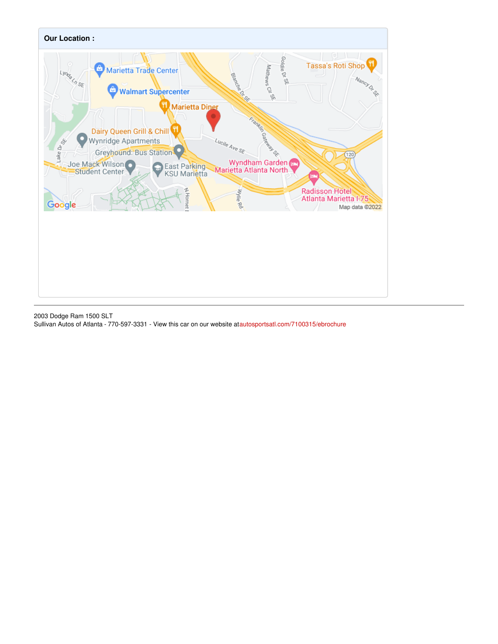

2003 Dodge Ram 1500 SLT Sullivan Autos of Atlanta - 770-597-3331 - View this car on our website a[tautosportsatl.com/7100315/ebrochure](https://autosportsatl.com/vehicle/7100315/2003-dodge-ram-1500-slt-marietta-georgia-30067/7100315/ebrochure)